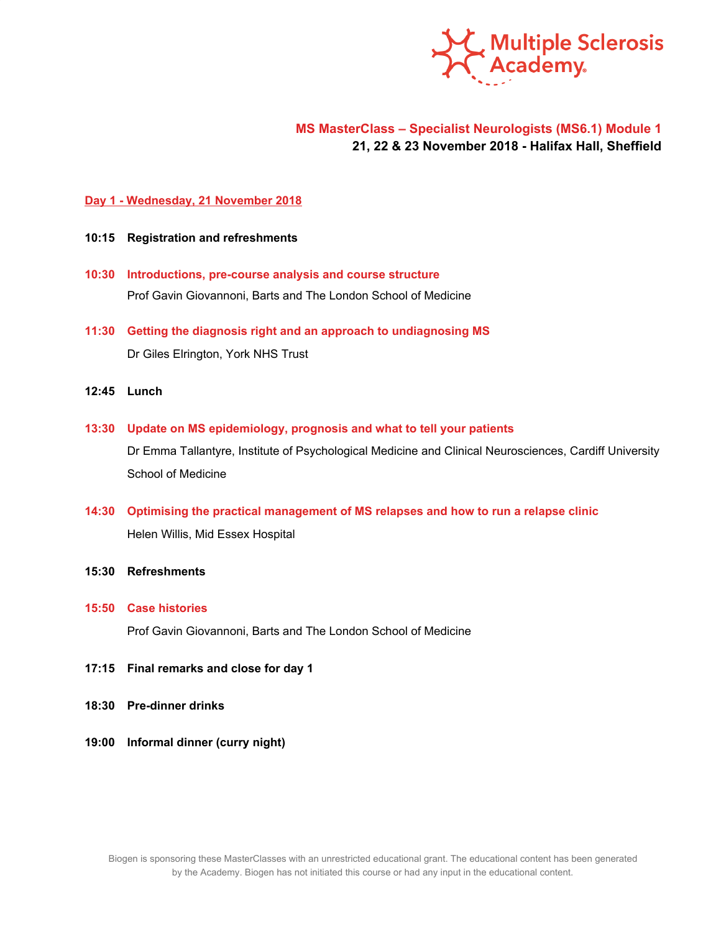

# **MS MasterClass – Specialist Neurologists (MS6.1) Module 1 21, 22 & 23 November 2018 - Halifax Hall, Sheffield**

### **Day 1 - Wednesday, 21 November 2018**

- **10:15 Registration and refreshments**
- **10:30 Introductions, pre-course analysis and course structure** Prof Gavin Giovannoni, Barts and The London School of Medicine
- **11:30 Getting the diagnosis right and an approach to undiagnosing MS** Dr Giles Elrington, York NHS Trust
- **12:45 Lunch**
- **13:30 Update on MS epidemiology, prognosis and what to tell your patients**

Dr Emma Tallantyre, Institute of Psychological Medicine and Clinical Neurosciences, Cardiff University School of Medicine

- **14:30 Optimising the practical management of MS relapses and how to run a relapse clinic** Helen Willis, Mid Essex Hospital
- **15:30 Refreshments**
- **15:50 Case histories**

Prof Gavin Giovannoni, Barts and The London School of Medicine

- **17:15 Final remarks and close for day 1**
- **18:30 Pre-dinner drinks**
- **19:00 Informal dinner (curry night)**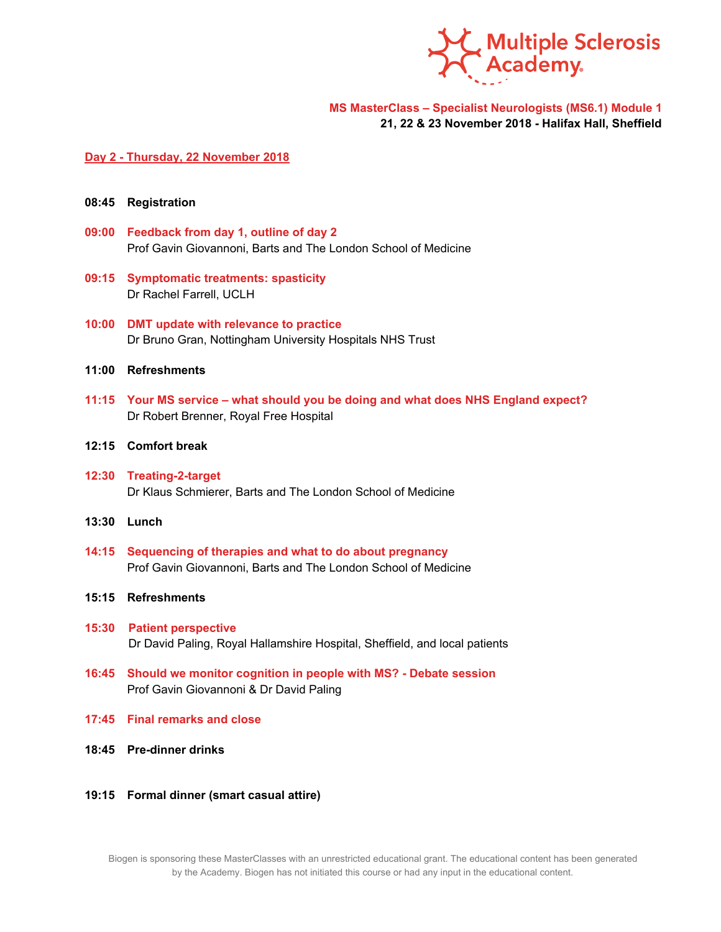

**MS MasterClass – Specialist Neurologists (MS6.1) Module 1 21, 22 & 23 November 2018 - Halifax Hall, Sheffield**

### **Day 2 - Thursday, 22 November 2018**

- **08:45 Registration**
- **09:00 Feedback from day 1, outline of day 2** Prof Gavin Giovannoni, Barts and The London School of Medicine
- **09:15 Symptomatic treatments: spasticity** Dr Rachel Farrell, UCLH
- **10:00 DMT update with relevance to practice** Dr Bruno Gran, Nottingham University Hospitals NHS Trust
- **11:00 Refreshments**
- **11:15 Your MS service – what should you be doing and what does NHS England expect?** Dr Robert Brenner, Royal Free Hospital
- **12:15 Comfort break**
- **12:30 Treating-2-target** Dr Klaus Schmierer, Barts and The London School of Medicine
- **13:30 Lunch**
- **14:15 Sequencing of therapies and what to do about pregnancy** Prof Gavin Giovannoni, Barts and The London School of Medicine
- **15:15 Refreshments**
- **15:30 Patient perspective** Dr David Paling, Royal Hallamshire Hospital, Sheffield, and local patients
- **16:45 Should we monitor cognition in people with MS? - Debate session** Prof Gavin Giovannoni & Dr David Paling
- **17:45 Final remarks and close**
- **18:45 Pre-dinner drinks**
- **19:15 Formal dinner (smart casual attire)**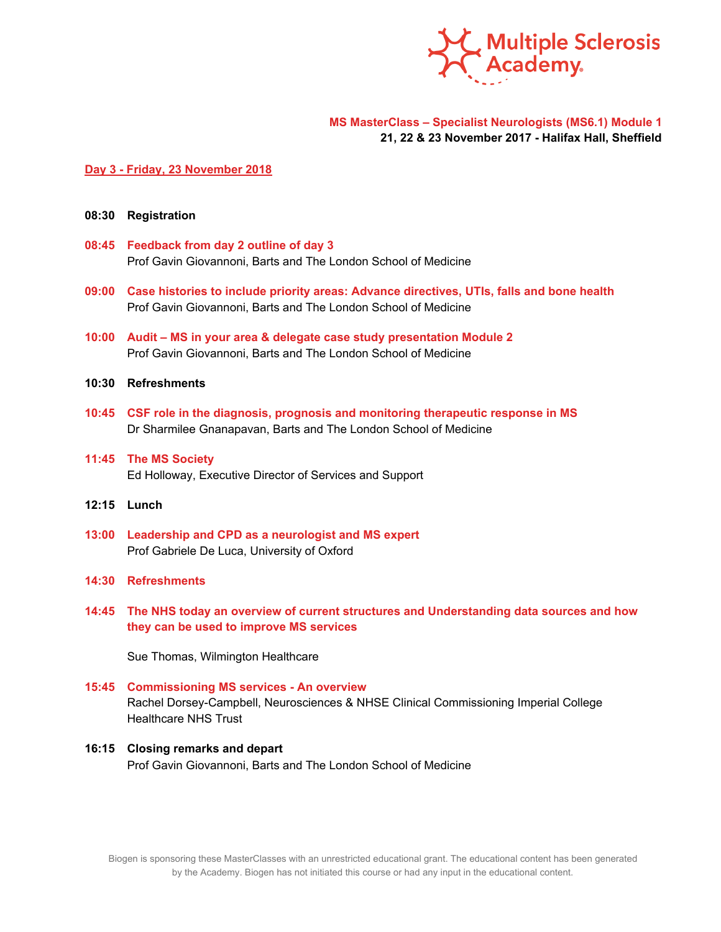

### **MS MasterClass – Specialist Neurologists (MS6.1) Module 1 21, 22 & 23 November 2017 - Halifax Hall, Sheffield**

#### **Day 3 - Friday, 23 November 2018**

- **08:30 Registration**
- **08:45 Feedback from day 2 outline of day 3** Prof Gavin Giovannoni, Barts and The London School of Medicine
- **09:00 Case histories to include priority areas: Advance directives, UTIs, falls and bone health** Prof Gavin Giovannoni, Barts and The London School of Medicine
- **10:00 Audit – MS in your area & delegate case study presentation Module 2** Prof Gavin Giovannoni, Barts and The London School of Medicine
- **10:30 Refreshments**
- **10:45 CSF role in the diagnosis, prognosis and monitoring therapeutic response in MS** Dr Sharmilee Gnanapavan, Barts and The London School of Medicine
- **11:45 The MS Society** Ed Holloway, Executive Director of Services and Support
- **12:15 Lunch**
- **13:00 Leadership and CPD as a neurologist and MS expert** Prof Gabriele De Luca, University of Oxford
- **14:30 Refreshments**
- **14:45 The NHS today an overview of current structures and Understanding data sources and how they can be used to improve MS services**

Sue Thomas, Wilmington Healthcare

- **15:45 Commissioning MS services - An overview** Rachel Dorsey-Campbell, Neurosciences & NHSE Clinical Commissioning Imperial College Healthcare NHS Trust
- **16:15 Closing remarks and depart** Prof Gavin Giovannoni, Barts and The London School of Medicine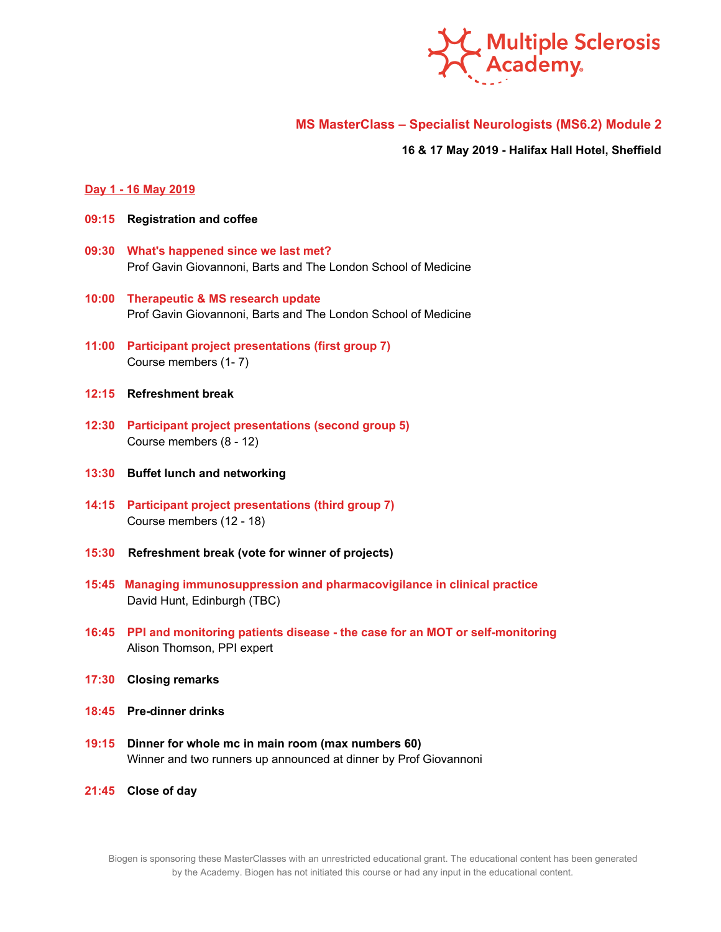

# **MS MasterClass – Specialist Neurologists (MS6.2) Module 2**

**16 & 17 May 2019 - Halifax Hall Hotel, Sheffield**

#### **Day 1 - 16 May 2019**

- **09:15 Registration and coffee**
- **09:30 What's happened since we last met?** Prof Gavin Giovannoni, Barts and The London School of Medicine
- **10:00 Therapeutic & MS research update** Prof Gavin Giovannoni, Barts and The London School of Medicine
- **11:00 Participant project presentations (first group 7)** Course members (1- 7)
- **12:15 Refreshment break**
- **12:30 Participant project presentations (second group 5)** Course members (8 - 12)
- **13:30 Buffet lunch and networking**
- **14:15 Participant project presentations (third group 7)** Course members (12 - 18)
- **15:30 Refreshment break (vote for winner of projects)**
- **15:45 Managing immunosuppression and pharmacovigilance in clinical practice** David Hunt, Edinburgh (TBC)
- **16:45 PPI and monitoring patients disease - the case for an MOT or self-monitoring** Alison Thomson, PPI expert
- **17:30 Closing remarks**
- **18:45 Pre-dinner drinks**
- **19:15 Dinner for whole mc in main room (max numbers 60)** Winner and two runners up announced at dinner by Prof Giovannoni
- **21:45 Close of day**